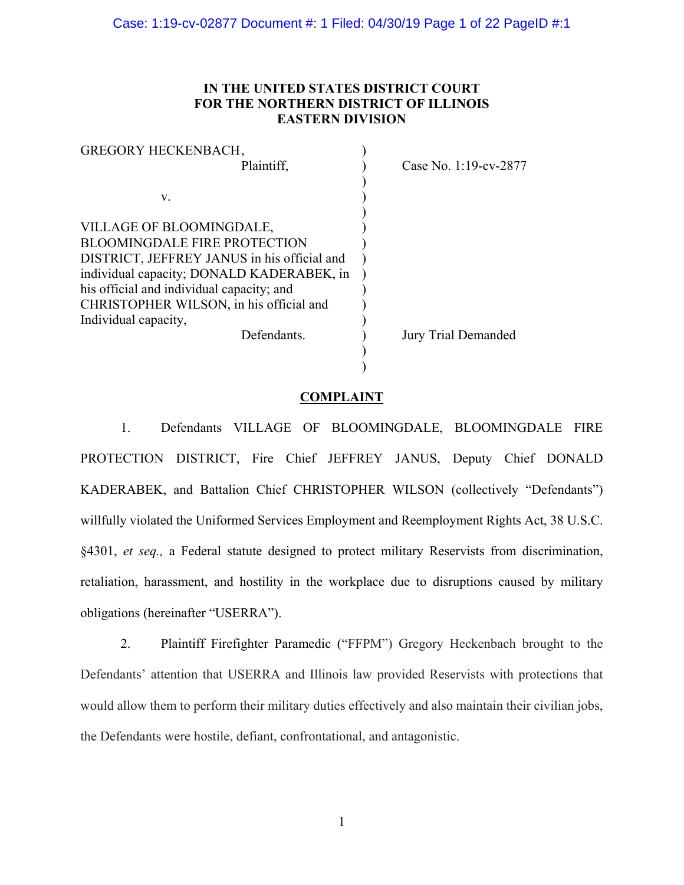# **IN THE UNITED STATES DISTRICT COURT FOR THE NORTHERN DISTRICT OF ILLINOIS EASTERN DIVISION**

| Case No. 1:19-cv-2877 |
|-----------------------|
|                       |
|                       |
|                       |
|                       |
|                       |
|                       |
|                       |
|                       |
|                       |
|                       |
| Jury Trial Demanded   |
|                       |
|                       |
|                       |

# **COMPLAINT**

1. Defendants VILLAGE OF BLOOMINGDALE, BLOOMINGDALE FIRE PROTECTION DISTRICT, Fire Chief JEFFREY JANUS, Deputy Chief DONALD KADERABEK, and Battalion Chief CHRISTOPHER WILSON (collectively "Defendants") willfully violated the Uniformed Services Employment and Reemployment Rights Act, 38 U.S.C. §4301, *et seq.,* a Federal statute designed to protect military Reservists from discrimination, retaliation, harassment, and hostility in the workplace due to disruptions caused by military obligations (hereinafter "USERRA").

2. Plaintiff Firefighter Paramedic ("FFPM") Gregory Heckenbach brought to the Defendants' attention that USERRA and Illinois law provided Reservists with protections that would allow them to perform their military duties effectively and also maintain their civilian jobs, the Defendants were hostile, defiant, confrontational, and antagonistic.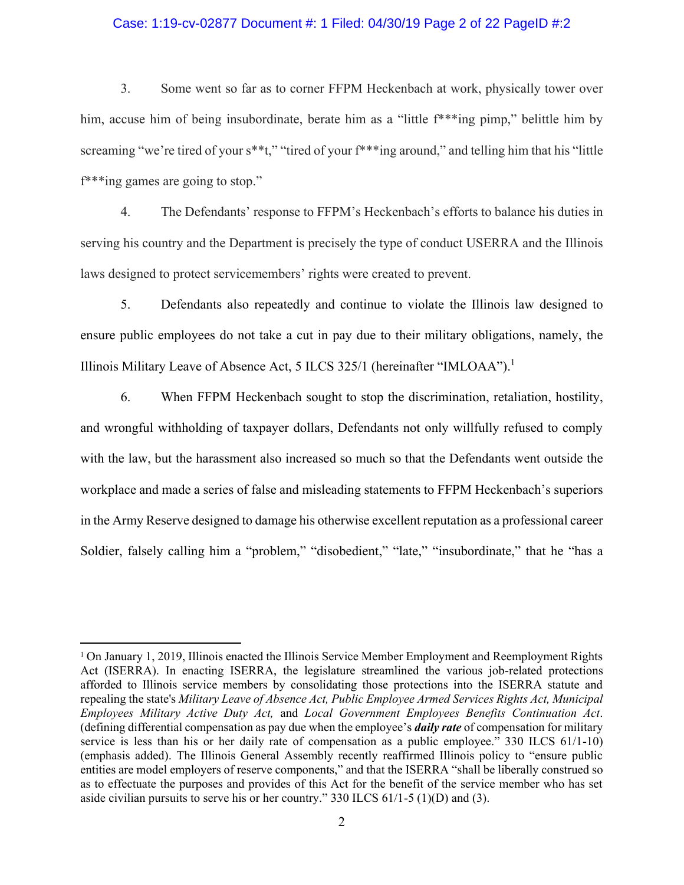#### Case: 1:19-cv-02877 Document #: 1 Filed: 04/30/19 Page 2 of 22 PageID #:2

3. Some went so far as to corner FFPM Heckenbach at work, physically tower over him, accuse him of being insubordinate, berate him as a "little f\*\*\*ing pimp," belittle him by screaming "we're tired of your s\*\*t," "tired of your f\*\*\*ing around," and telling him that his "little f\*\*\*ing games are going to stop."

4. The Defendants' response to FFPM's Heckenbach's efforts to balance his duties in serving his country and the Department is precisely the type of conduct USERRA and the Illinois laws designed to protect servicemembers' rights were created to prevent.

5. Defendants also repeatedly and continue to violate the Illinois law designed to ensure public employees do not take a cut in pay due to their military obligations, namely, the Illinois Military Leave of Absence Act, 5 ILCS 325/1 (hereinafter "IMLOAA"). 1

6. When FFPM Heckenbach sought to stop the discrimination, retaliation, hostility, and wrongful withholding of taxpayer dollars, Defendants not only willfully refused to comply with the law, but the harassment also increased so much so that the Defendants went outside the workplace and made a series of false and misleading statements to FFPM Heckenbach's superiors in the Army Reserve designed to damage his otherwise excellent reputation as a professional career Soldier, falsely calling him a "problem," "disobedient," "late," "insubordinate," that he "has a

 $\overline{a}$ 

<sup>1</sup> On January 1, 2019, Illinois enacted the Illinois Service Member Employment and Reemployment Rights Act (ISERRA). In enacting ISERRA, the legislature streamlined the various job-related protections afforded to Illinois service members by consolidating those protections into the ISERRA statute and repealing the state's *Military Leave of Absence Act, Public Employee Armed Services Rights Act, Municipal Employees Military Active Duty Act,* and *Local Government Employees Benefits Continuation Act*. (defining differential compensation as pay due when the employee's *daily rate* of compensation for military service is less than his or her daily rate of compensation as a public employee." 330 ILCS 61/1-10) (emphasis added). The Illinois General Assembly recently reaffirmed Illinois policy to "ensure public entities are model employers of reserve components," and that the ISERRA "shall be liberally construed so as to effectuate the purposes and provides of this Act for the benefit of the service member who has set aside civilian pursuits to serve his or her country." 330 ILCS 61/1-5 (1)(D) and (3).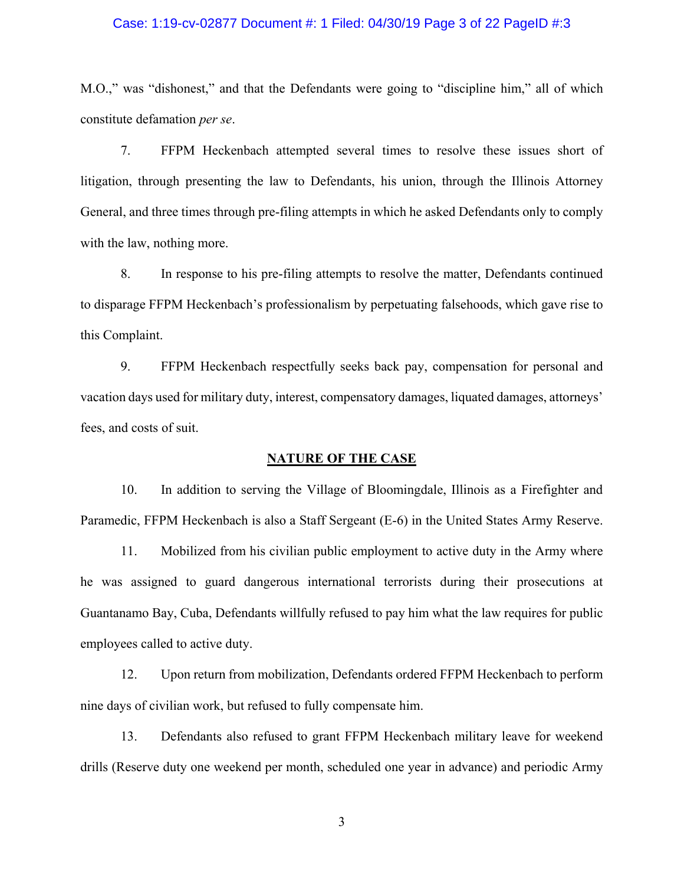## Case: 1:19-cv-02877 Document #: 1 Filed: 04/30/19 Page 3 of 22 PageID #:3

M.O.," was "dishonest," and that the Defendants were going to "discipline him," all of which constitute defamation *per se*.

7. FFPM Heckenbach attempted several times to resolve these issues short of litigation, through presenting the law to Defendants, his union, through the Illinois Attorney General, and three times through pre-filing attempts in which he asked Defendants only to comply with the law, nothing more.

8. In response to his pre-filing attempts to resolve the matter, Defendants continued to disparage FFPM Heckenbach's professionalism by perpetuating falsehoods, which gave rise to this Complaint.

9. FFPM Heckenbach respectfully seeks back pay, compensation for personal and vacation days used for military duty, interest, compensatory damages, liquated damages, attorneys' fees, and costs of suit.

## **NATURE OF THE CASE**

10. In addition to serving the Village of Bloomingdale, Illinois as a Firefighter and Paramedic, FFPM Heckenbach is also a Staff Sergeant (E-6) in the United States Army Reserve.

11. Mobilized from his civilian public employment to active duty in the Army where he was assigned to guard dangerous international terrorists during their prosecutions at Guantanamo Bay, Cuba, Defendants willfully refused to pay him what the law requires for public employees called to active duty.

12. Upon return from mobilization, Defendants ordered FFPM Heckenbach to perform nine days of civilian work, but refused to fully compensate him.

13. Defendants also refused to grant FFPM Heckenbach military leave for weekend drills (Reserve duty one weekend per month, scheduled one year in advance) and periodic Army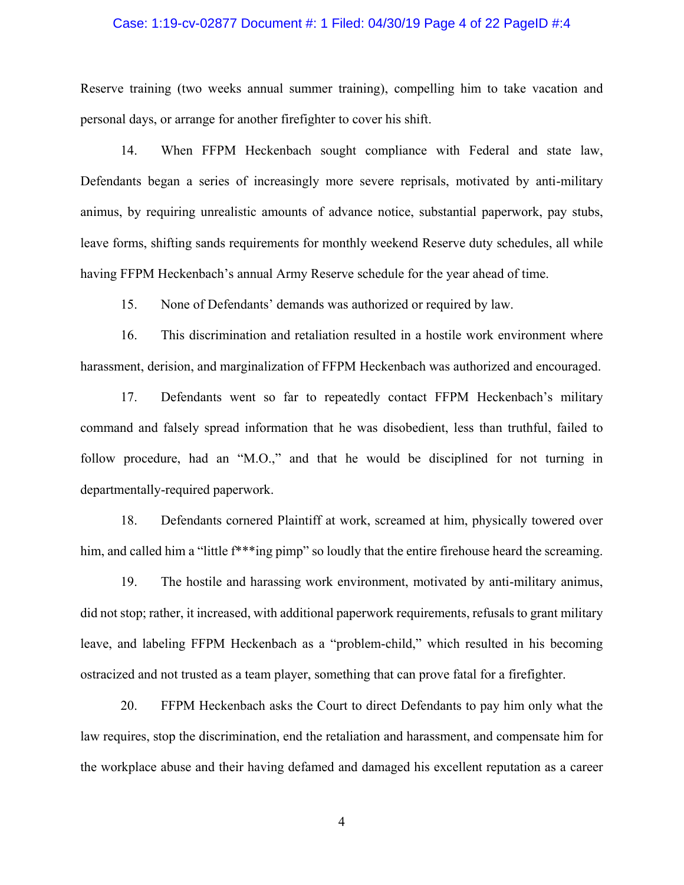## Case: 1:19-cv-02877 Document #: 1 Filed: 04/30/19 Page 4 of 22 PageID #:4

Reserve training (two weeks annual summer training), compelling him to take vacation and personal days, or arrange for another firefighter to cover his shift.

14. When FFPM Heckenbach sought compliance with Federal and state law, Defendants began a series of increasingly more severe reprisals, motivated by anti-military animus, by requiring unrealistic amounts of advance notice, substantial paperwork, pay stubs, leave forms, shifting sands requirements for monthly weekend Reserve duty schedules, all while having FFPM Heckenbach's annual Army Reserve schedule for the year ahead of time.

15. None of Defendants' demands was authorized or required by law.

16. This discrimination and retaliation resulted in a hostile work environment where harassment, derision, and marginalization of FFPM Heckenbach was authorized and encouraged.

17. Defendants went so far to repeatedly contact FFPM Heckenbach's military command and falsely spread information that he was disobedient, less than truthful, failed to follow procedure, had an "M.O.," and that he would be disciplined for not turning in departmentally-required paperwork.

18. Defendants cornered Plaintiff at work, screamed at him, physically towered over him, and called him a "little  $f^{**}$ "ing pimp" so loudly that the entire firehouse heard the screaming.

19. The hostile and harassing work environment, motivated by anti-military animus, did not stop; rather, it increased, with additional paperwork requirements, refusals to grant military leave, and labeling FFPM Heckenbach as a "problem-child," which resulted in his becoming ostracized and not trusted as a team player, something that can prove fatal for a firefighter.

20. FFPM Heckenbach asks the Court to direct Defendants to pay him only what the law requires, stop the discrimination, end the retaliation and harassment, and compensate him for the workplace abuse and their having defamed and damaged his excellent reputation as a career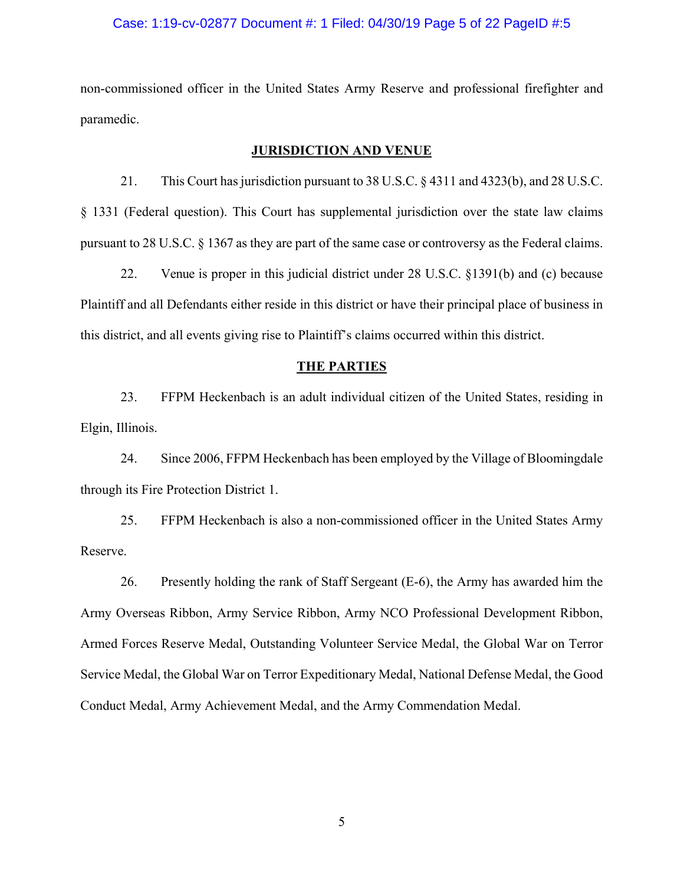#### Case: 1:19-cv-02877 Document #: 1 Filed: 04/30/19 Page 5 of 22 PageID #:5

non-commissioned officer in the United States Army Reserve and professional firefighter and paramedic.

## **JURISDICTION AND VENUE**

21. This Court has jurisdiction pursuant to 38 U.S.C. § 4311 and 4323(b), and 28 U.S.C. § 1331 (Federal question). This Court has supplemental jurisdiction over the state law claims pursuant to 28 U.S.C. § 1367 as they are part of the same case or controversy as the Federal claims.

22. Venue is proper in this judicial district under 28 U.S.C. §1391(b) and (c) because Plaintiff and all Defendants either reside in this district or have their principal place of business in this district, and all events giving rise to Plaintiff's claims occurred within this district.

#### **THE PARTIES**

23. FFPM Heckenbach is an adult individual citizen of the United States, residing in Elgin, Illinois.

24. Since 2006, FFPM Heckenbach has been employed by the Village of Bloomingdale through its Fire Protection District 1.

25. FFPM Heckenbach is also a non-commissioned officer in the United States Army Reserve.

26. Presently holding the rank of Staff Sergeant (E-6), the Army has awarded him the Army Overseas Ribbon, Army Service Ribbon, Army NCO Professional Development Ribbon, Armed Forces Reserve Medal, Outstanding Volunteer Service Medal, the Global War on Terror Service Medal, the Global War on Terror Expeditionary Medal, National Defense Medal, the Good Conduct Medal, Army Achievement Medal, and the Army Commendation Medal.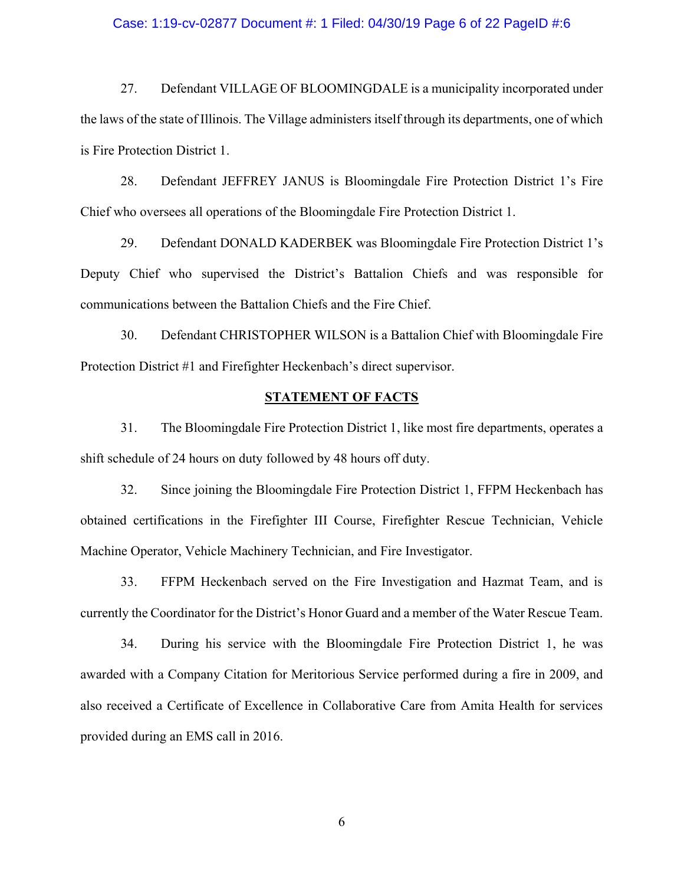#### Case: 1:19-cv-02877 Document #: 1 Filed: 04/30/19 Page 6 of 22 PageID #:6

27. Defendant VILLAGE OF BLOOMINGDALE is a municipality incorporated under the laws of the state of Illinois. The Village administers itself through its departments, one of which is Fire Protection District 1.

28. Defendant JEFFREY JANUS is Bloomingdale Fire Protection District 1's Fire Chief who oversees all operations of the Bloomingdale Fire Protection District 1.

29. Defendant DONALD KADERBEK was Bloomingdale Fire Protection District 1's Deputy Chief who supervised the District's Battalion Chiefs and was responsible for communications between the Battalion Chiefs and the Fire Chief.

30. Defendant CHRISTOPHER WILSON is a Battalion Chief with Bloomingdale Fire Protection District #1 and Firefighter Heckenbach's direct supervisor.

# **STATEMENT OF FACTS**

31. The Bloomingdale Fire Protection District 1, like most fire departments, operates a shift schedule of 24 hours on duty followed by 48 hours off duty.

32. Since joining the Bloomingdale Fire Protection District 1, FFPM Heckenbach has obtained certifications in the Firefighter III Course, Firefighter Rescue Technician, Vehicle Machine Operator, Vehicle Machinery Technician, and Fire Investigator.

33. FFPM Heckenbach served on the Fire Investigation and Hazmat Team, and is currently the Coordinator for the District's Honor Guard and a member of the Water Rescue Team.

34. During his service with the Bloomingdale Fire Protection District 1, he was awarded with a Company Citation for Meritorious Service performed during a fire in 2009, and also received a Certificate of Excellence in Collaborative Care from Amita Health for services provided during an EMS call in 2016.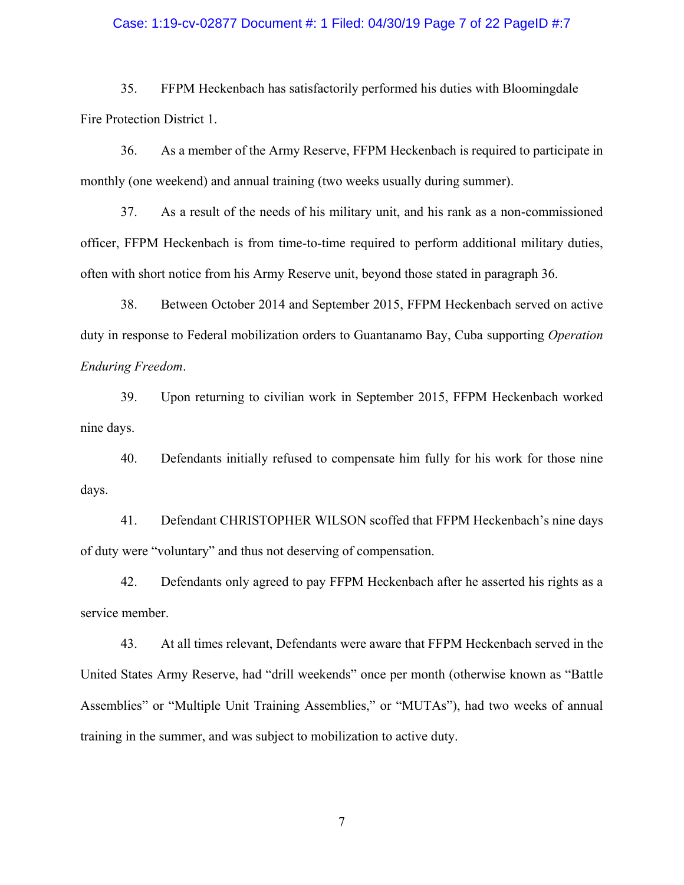## Case: 1:19-cv-02877 Document #: 1 Filed: 04/30/19 Page 7 of 22 PageID #:7

35. FFPM Heckenbach has satisfactorily performed his duties with Bloomingdale Fire Protection District 1.

36. As a member of the Army Reserve, FFPM Heckenbach is required to participate in monthly (one weekend) and annual training (two weeks usually during summer).

37. As a result of the needs of his military unit, and his rank as a non-commissioned officer, FFPM Heckenbach is from time-to-time required to perform additional military duties, often with short notice from his Army Reserve unit, beyond those stated in paragraph 36.

38. Between October 2014 and September 2015, FFPM Heckenbach served on active duty in response to Federal mobilization orders to Guantanamo Bay, Cuba supporting *Operation Enduring Freedom*.

39. Upon returning to civilian work in September 2015, FFPM Heckenbach worked nine days.

40. Defendants initially refused to compensate him fully for his work for those nine days.

41. Defendant CHRISTOPHER WILSON scoffed that FFPM Heckenbach's nine days of duty were "voluntary" and thus not deserving of compensation.

42. Defendants only agreed to pay FFPM Heckenbach after he asserted his rights as a service member.

43. At all times relevant, Defendants were aware that FFPM Heckenbach served in the United States Army Reserve, had "drill weekends" once per month (otherwise known as "Battle Assemblies" or "Multiple Unit Training Assemblies," or "MUTAs"), had two weeks of annual training in the summer, and was subject to mobilization to active duty.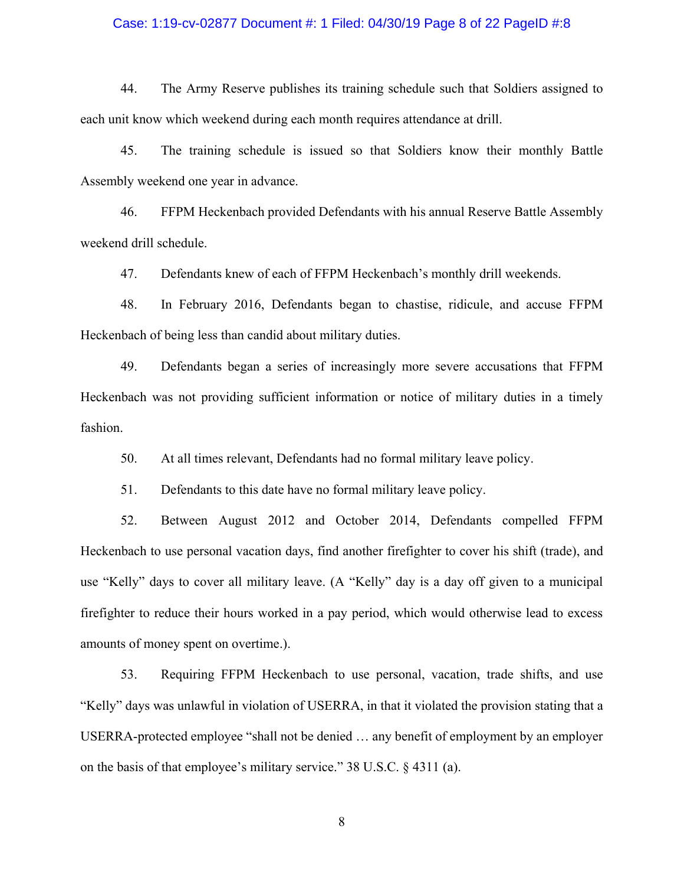## Case: 1:19-cv-02877 Document #: 1 Filed: 04/30/19 Page 8 of 22 PageID #:8

44. The Army Reserve publishes its training schedule such that Soldiers assigned to each unit know which weekend during each month requires attendance at drill.

45. The training schedule is issued so that Soldiers know their monthly Battle Assembly weekend one year in advance.

46. FFPM Heckenbach provided Defendants with his annual Reserve Battle Assembly weekend drill schedule.

47. Defendants knew of each of FFPM Heckenbach's monthly drill weekends.

48. In February 2016, Defendants began to chastise, ridicule, and accuse FFPM Heckenbach of being less than candid about military duties.

49. Defendants began a series of increasingly more severe accusations that FFPM Heckenbach was not providing sufficient information or notice of military duties in a timely fashion.

50. At all times relevant, Defendants had no formal military leave policy.

51. Defendants to this date have no formal military leave policy.

52. Between August 2012 and October 2014, Defendants compelled FFPM Heckenbach to use personal vacation days, find another firefighter to cover his shift (trade), and use "Kelly" days to cover all military leave. (A "Kelly" day is a day off given to a municipal firefighter to reduce their hours worked in a pay period, which would otherwise lead to excess amounts of money spent on overtime.).

53. Requiring FFPM Heckenbach to use personal, vacation, trade shifts, and use "Kelly" days was unlawful in violation of USERRA, in that it violated the provision stating that a USERRA-protected employee "shall not be denied … any benefit of employment by an employer on the basis of that employee's military service." 38 U.S.C. § 4311 (a).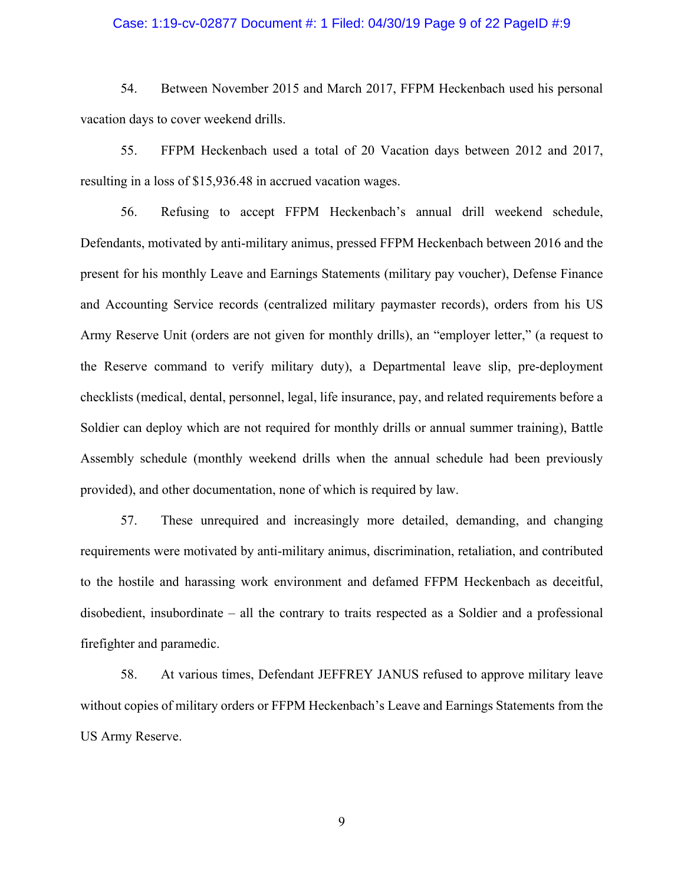## Case: 1:19-cv-02877 Document #: 1 Filed: 04/30/19 Page 9 of 22 PageID #:9

54. Between November 2015 and March 2017, FFPM Heckenbach used his personal vacation days to cover weekend drills.

55. FFPM Heckenbach used a total of 20 Vacation days between 2012 and 2017, resulting in a loss of \$15,936.48 in accrued vacation wages.

56. Refusing to accept FFPM Heckenbach's annual drill weekend schedule, Defendants, motivated by anti-military animus, pressed FFPM Heckenbach between 2016 and the present for his monthly Leave and Earnings Statements (military pay voucher), Defense Finance and Accounting Service records (centralized military paymaster records), orders from his US Army Reserve Unit (orders are not given for monthly drills), an "employer letter," (a request to the Reserve command to verify military duty), a Departmental leave slip, pre-deployment checklists (medical, dental, personnel, legal, life insurance, pay, and related requirements before a Soldier can deploy which are not required for monthly drills or annual summer training), Battle Assembly schedule (monthly weekend drills when the annual schedule had been previously provided), and other documentation, none of which is required by law.

57. These unrequired and increasingly more detailed, demanding, and changing requirements were motivated by anti-military animus, discrimination, retaliation, and contributed to the hostile and harassing work environment and defamed FFPM Heckenbach as deceitful, disobedient, insubordinate – all the contrary to traits respected as a Soldier and a professional firefighter and paramedic.

58. At various times, Defendant JEFFREY JANUS refused to approve military leave without copies of military orders or FFPM Heckenbach's Leave and Earnings Statements from the US Army Reserve.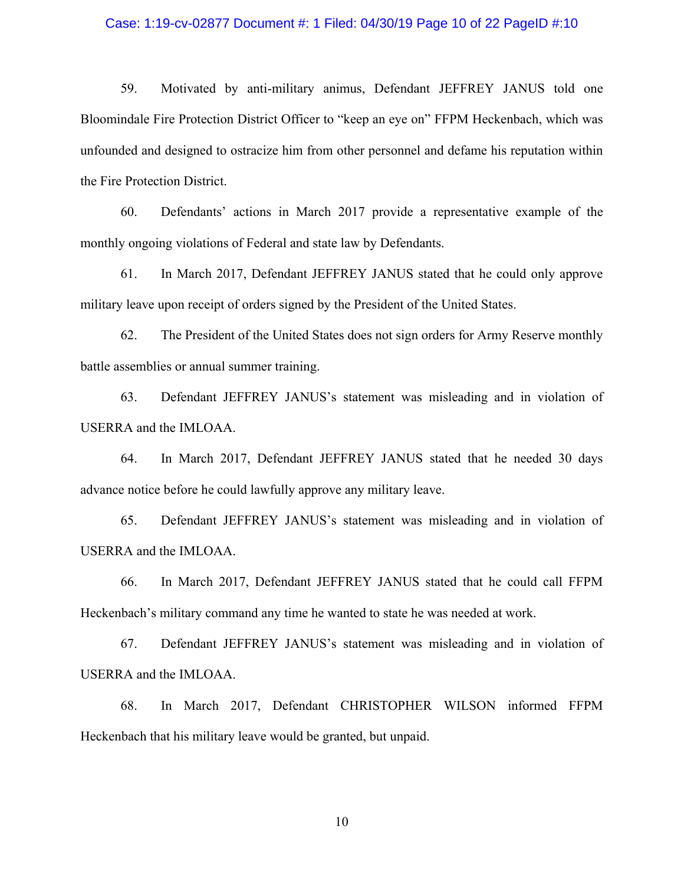## Case: 1:19-cv-02877 Document #: 1 Filed: 04/30/19 Page 10 of 22 PageID #:10

59. Motivated by anti-military animus, Defendant JEFFREY JANUS told one Bloomindale Fire Protection District Officer to "keep an eye on" FFPM Heckenbach, which was unfounded and designed to ostracize him from other personnel and defame his reputation within the Fire Protection District.

60. Defendants' actions in March 2017 provide a representative example of the monthly ongoing violations of Federal and state law by Defendants.

61. In March 2017, Defendant JEFFREY JANUS stated that he could only approve military leave upon receipt of orders signed by the President of the United States.

62. The President of the United States does not sign orders for Army Reserve monthly battle assemblies or annual summer training.

63. Defendant JEFFREY JANUS's statement was misleading and in violation of USERRA and the IMLOAA.

64. In March 2017, Defendant JEFFREY JANUS stated that he needed 30 days advance notice before he could lawfully approve any military leave.

65. Defendant JEFFREY JANUS's statement was misleading and in violation of USERRA and the IMLOAA.

66. In March 2017, Defendant JEFFREY JANUS stated that he could call FFPM Heckenbach's military command any time he wanted to state he was needed at work.

67. Defendant JEFFREY JANUS's statement was misleading and in violation of USERRA and the IMLOAA.

68. In March 2017, Defendant CHRISTOPHER WILSON informed FFPM Heckenbach that his military leave would be granted, but unpaid.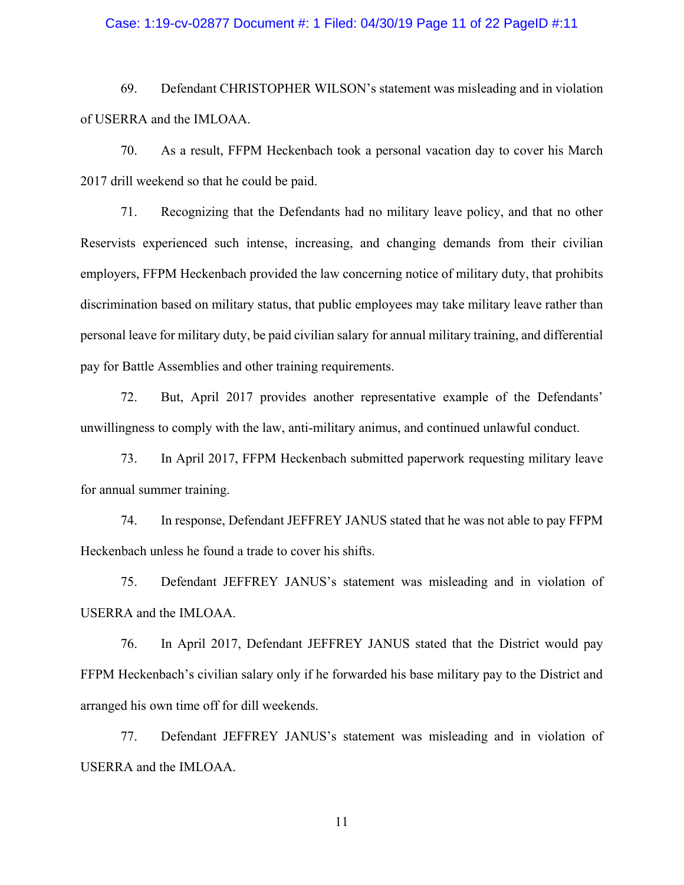## Case: 1:19-cv-02877 Document #: 1 Filed: 04/30/19 Page 11 of 22 PageID #:11

69. Defendant CHRISTOPHER WILSON's statement was misleading and in violation of USERRA and the IMLOAA.

70. As a result, FFPM Heckenbach took a personal vacation day to cover his March 2017 drill weekend so that he could be paid.

71. Recognizing that the Defendants had no military leave policy, and that no other Reservists experienced such intense, increasing, and changing demands from their civilian employers, FFPM Heckenbach provided the law concerning notice of military duty, that prohibits discrimination based on military status, that public employees may take military leave rather than personal leave for military duty, be paid civilian salary for annual military training, and differential pay for Battle Assemblies and other training requirements.

72. But, April 2017 provides another representative example of the Defendants' unwillingness to comply with the law, anti-military animus, and continued unlawful conduct.

73. In April 2017, FFPM Heckenbach submitted paperwork requesting military leave for annual summer training.

74. In response, Defendant JEFFREY JANUS stated that he was not able to pay FFPM Heckenbach unless he found a trade to cover his shifts.

75. Defendant JEFFREY JANUS's statement was misleading and in violation of USERRA and the IMLOAA.

76. In April 2017, Defendant JEFFREY JANUS stated that the District would pay FFPM Heckenbach's civilian salary only if he forwarded his base military pay to the District and arranged his own time off for dill weekends.

77. Defendant JEFFREY JANUS's statement was misleading and in violation of USERRA and the IMLOAA.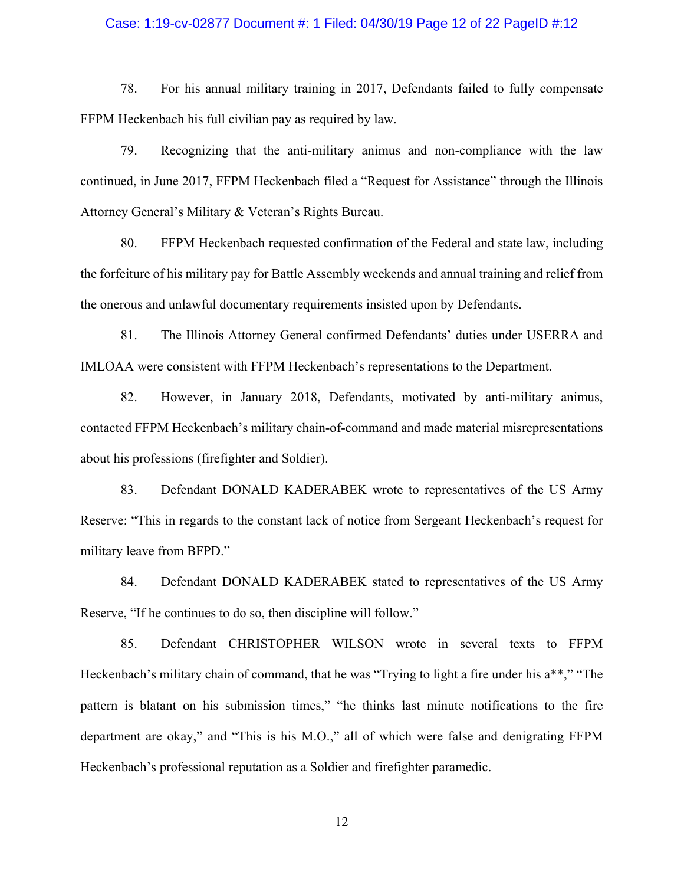## Case: 1:19-cv-02877 Document #: 1 Filed: 04/30/19 Page 12 of 22 PageID #:12

78. For his annual military training in 2017, Defendants failed to fully compensate FFPM Heckenbach his full civilian pay as required by law.

79. Recognizing that the anti-military animus and non-compliance with the law continued, in June 2017, FFPM Heckenbach filed a "Request for Assistance" through the Illinois Attorney General's Military & Veteran's Rights Bureau.

80. FFPM Heckenbach requested confirmation of the Federal and state law, including the forfeiture of his military pay for Battle Assembly weekends and annual training and relief from the onerous and unlawful documentary requirements insisted upon by Defendants.

81. The Illinois Attorney General confirmed Defendants' duties under USERRA and IMLOAA were consistent with FFPM Heckenbach's representations to the Department.

82. However, in January 2018, Defendants, motivated by anti-military animus, contacted FFPM Heckenbach's military chain-of-command and made material misrepresentations about his professions (firefighter and Soldier).

83. Defendant DONALD KADERABEK wrote to representatives of the US Army Reserve: "This in regards to the constant lack of notice from Sergeant Heckenbach's request for military leave from BFPD."

84. Defendant DONALD KADERABEK stated to representatives of the US Army Reserve, "If he continues to do so, then discipline will follow."

85. Defendant CHRISTOPHER WILSON wrote in several texts to FFPM Heckenbach's military chain of command, that he was "Trying to light a fire under his a\*\*," "The pattern is blatant on his submission times," "he thinks last minute notifications to the fire department are okay," and "This is his M.O.," all of which were false and denigrating FFPM Heckenbach's professional reputation as a Soldier and firefighter paramedic.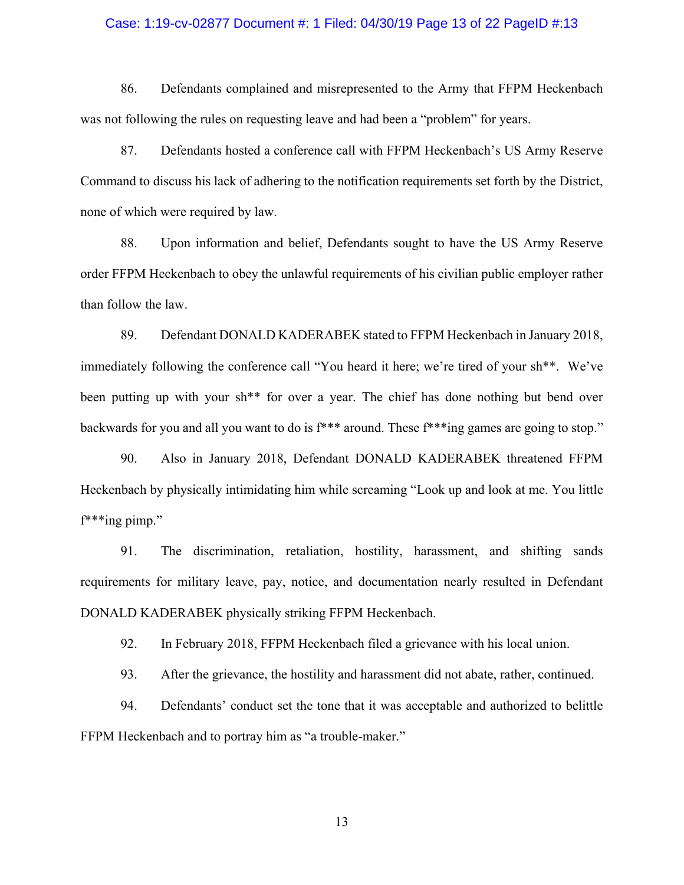### Case: 1:19-cv-02877 Document #: 1 Filed: 04/30/19 Page 13 of 22 PageID #:13

86. Defendants complained and misrepresented to the Army that FFPM Heckenbach was not following the rules on requesting leave and had been a "problem" for years.

87. Defendants hosted a conference call with FFPM Heckenbach's US Army Reserve Command to discuss his lack of adhering to the notification requirements set forth by the District, none of which were required by law.

88. Upon information and belief, Defendants sought to have the US Army Reserve order FFPM Heckenbach to obey the unlawful requirements of his civilian public employer rather than follow the law.

89. Defendant DONALD KADERABEK stated to FFPM Heckenbach in January 2018, immediately following the conference call "You heard it here; we're tired of your sh\*\*. We've been putting up with your sh<sup>\*\*</sup> for over a year. The chief has done nothing but bend over backwards for you and all you want to do is f\*\*\* around. These f\*\*\*ing games are going to stop."

90. Also in January 2018, Defendant DONALD KADERABEK threatened FFPM Heckenbach by physically intimidating him while screaming "Look up and look at me. You little f\*\*\*ing pimp."

91. The discrimination, retaliation, hostility, harassment, and shifting sands requirements for military leave, pay, notice, and documentation nearly resulted in Defendant DONALD KADERABEK physically striking FFPM Heckenbach.

92. In February 2018, FFPM Heckenbach filed a grievance with his local union.

93. After the grievance, the hostility and harassment did not abate, rather, continued.

94. Defendants' conduct set the tone that it was acceptable and authorized to belittle FFPM Heckenbach and to portray him as "a trouble-maker."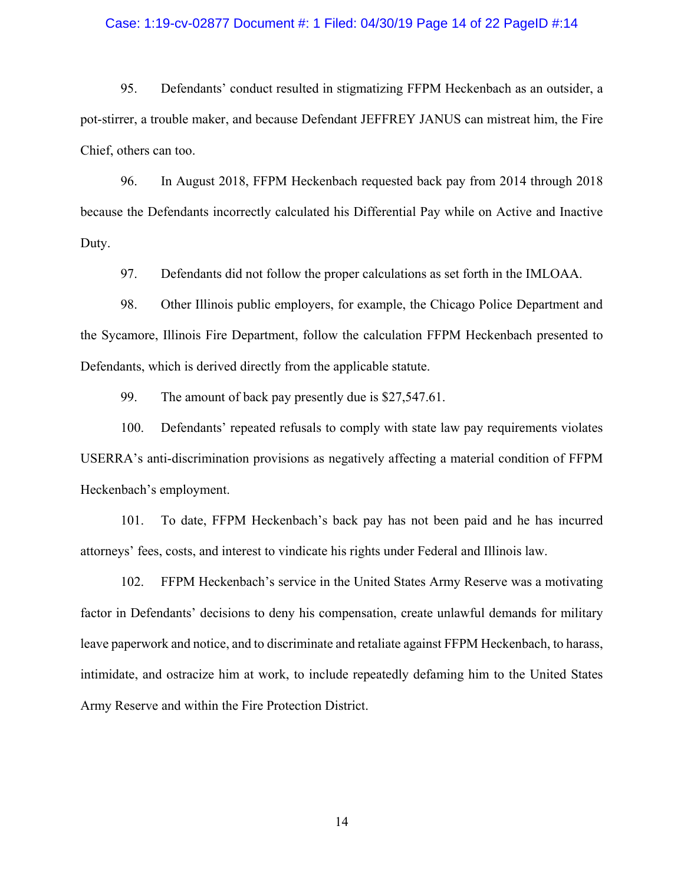#### Case: 1:19-cv-02877 Document #: 1 Filed: 04/30/19 Page 14 of 22 PageID #:14

95. Defendants' conduct resulted in stigmatizing FFPM Heckenbach as an outsider, a pot-stirrer, a trouble maker, and because Defendant JEFFREY JANUS can mistreat him, the Fire Chief, others can too.

96. In August 2018, FFPM Heckenbach requested back pay from 2014 through 2018 because the Defendants incorrectly calculated his Differential Pay while on Active and Inactive Duty.

97. Defendants did not follow the proper calculations as set forth in the IMLOAA.

98. Other Illinois public employers, for example, the Chicago Police Department and the Sycamore, Illinois Fire Department, follow the calculation FFPM Heckenbach presented to Defendants, which is derived directly from the applicable statute.

99. The amount of back pay presently due is \$27,547.61.

100. Defendants' repeated refusals to comply with state law pay requirements violates USERRA's anti-discrimination provisions as negatively affecting a material condition of FFPM Heckenbach's employment.

101. To date, FFPM Heckenbach's back pay has not been paid and he has incurred attorneys' fees, costs, and interest to vindicate his rights under Federal and Illinois law.

102. FFPM Heckenbach's service in the United States Army Reserve was a motivating factor in Defendants' decisions to deny his compensation, create unlawful demands for military leave paperwork and notice, and to discriminate and retaliate against FFPM Heckenbach, to harass, intimidate, and ostracize him at work, to include repeatedly defaming him to the United States Army Reserve and within the Fire Protection District.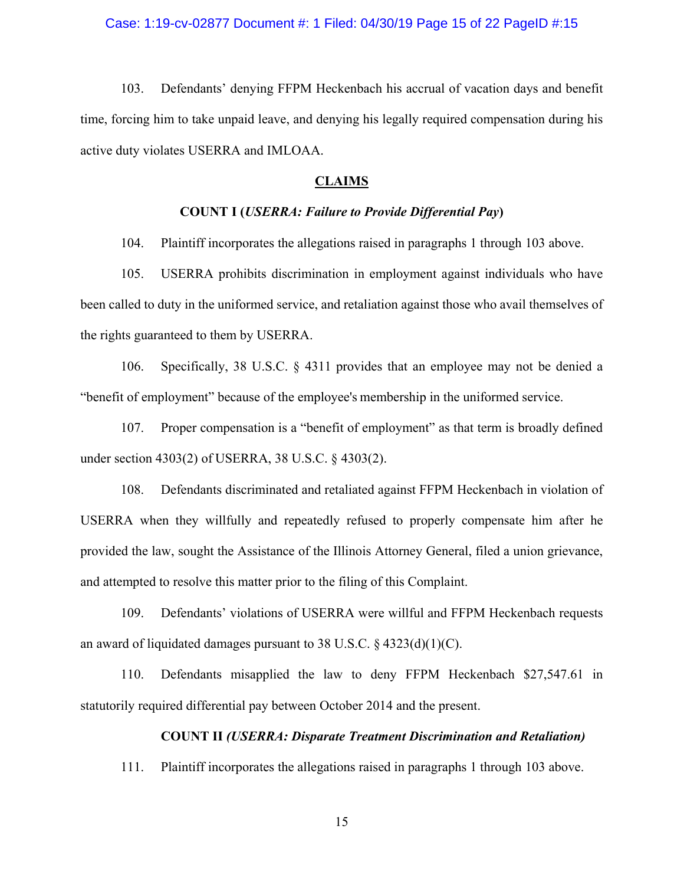#### Case: 1:19-cv-02877 Document #: 1 Filed: 04/30/19 Page 15 of 22 PageID #:15

103. Defendants' denying FFPM Heckenbach his accrual of vacation days and benefit time, forcing him to take unpaid leave, and denying his legally required compensation during his active duty violates USERRA and IMLOAA.

## **CLAIMS**

# **COUNT I (***USERRA: Failure to Provide Differential Pay***)**

104. Plaintiff incorporates the allegations raised in paragraphs 1 through 103 above.

105. USERRA prohibits discrimination in employment against individuals who have been called to duty in the uniformed service, and retaliation against those who avail themselves of the rights guaranteed to them by USERRA.

106. Specifically, 38 U.S.C. § 4311 provides that an employee may not be denied a "benefit of employment" because of the employee's membership in the uniformed service.

107. Proper compensation is a "benefit of employment" as that term is broadly defined under section 4303(2) of USERRA, 38 U.S.C. § 4303(2).

108. Defendants discriminated and retaliated against FFPM Heckenbach in violation of USERRA when they willfully and repeatedly refused to properly compensate him after he provided the law, sought the Assistance of the Illinois Attorney General, filed a union grievance, and attempted to resolve this matter prior to the filing of this Complaint.

109. Defendants' violations of USERRA were willful and FFPM Heckenbach requests an award of liquidated damages pursuant to 38 U.S.C. § 4323(d)(1)(C).

110. Defendants misapplied the law to deny FFPM Heckenbach \$27,547.61 in statutorily required differential pay between October 2014 and the present.

## **COUNT II** *(USERRA: Disparate Treatment Discrimination and Retaliation)*

111. Plaintiff incorporates the allegations raised in paragraphs 1 through 103 above.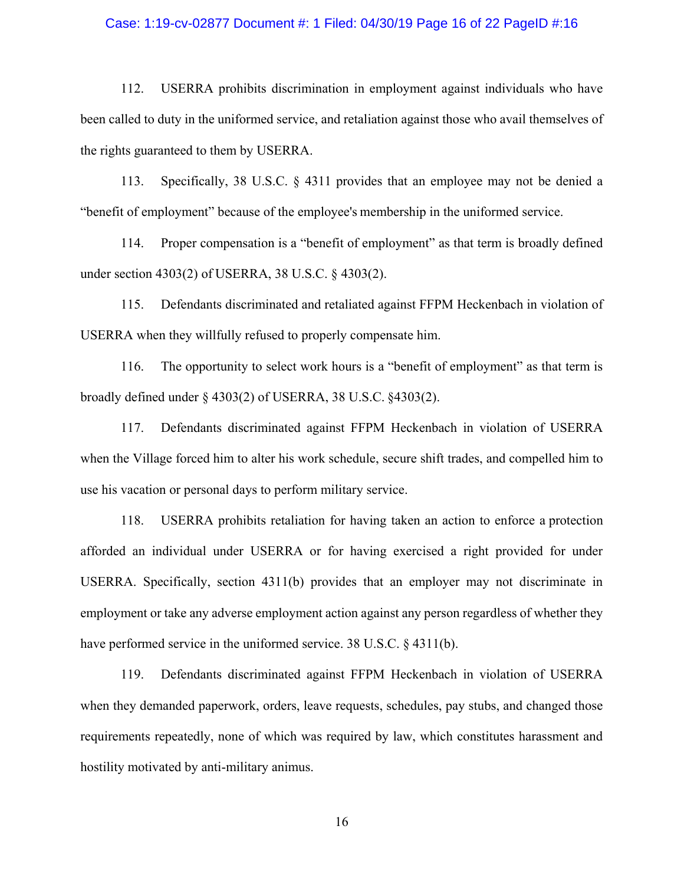#### Case: 1:19-cv-02877 Document #: 1 Filed: 04/30/19 Page 16 of 22 PageID #:16

112. USERRA prohibits discrimination in employment against individuals who have been called to duty in the uniformed service, and retaliation against those who avail themselves of the rights guaranteed to them by USERRA.

113. Specifically, 38 U.S.C. § 4311 provides that an employee may not be denied a "benefit of employment" because of the employee's membership in the uniformed service.

114. Proper compensation is a "benefit of employment" as that term is broadly defined under section 4303(2) of USERRA, 38 U.S.C. § 4303(2).

115. Defendants discriminated and retaliated against FFPM Heckenbach in violation of USERRA when they willfully refused to properly compensate him.

116. The opportunity to select work hours is a "benefit of employment" as that term is broadly defined under § 4303(2) of USERRA, 38 U.S.C. §4303(2).

117. Defendants discriminated against FFPM Heckenbach in violation of USERRA when the Village forced him to alter his work schedule, secure shift trades, and compelled him to use his vacation or personal days to perform military service.

118. USERRA prohibits retaliation for having taken an action to enforce a protection afforded an individual under USERRA or for having exercised a right provided for under USERRA. Specifically, section 4311(b) provides that an employer may not discriminate in employment or take any adverse employment action against any person regardless of whether they have performed service in the uniformed service. 38 U.S.C. § 4311(b).

119. Defendants discriminated against FFPM Heckenbach in violation of USERRA when they demanded paperwork, orders, leave requests, schedules, pay stubs, and changed those requirements repeatedly, none of which was required by law, which constitutes harassment and hostility motivated by anti-military animus.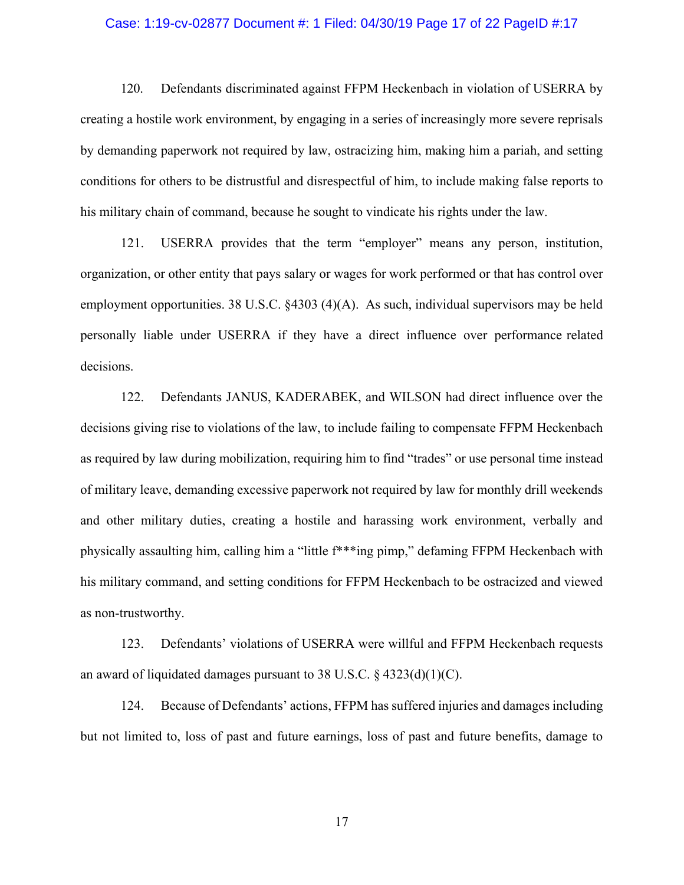#### Case: 1:19-cv-02877 Document #: 1 Filed: 04/30/19 Page 17 of 22 PageID #:17

120. Defendants discriminated against FFPM Heckenbach in violation of USERRA by creating a hostile work environment, by engaging in a series of increasingly more severe reprisals by demanding paperwork not required by law, ostracizing him, making him a pariah, and setting conditions for others to be distrustful and disrespectful of him, to include making false reports to his military chain of command, because he sought to vindicate his rights under the law.

121. USERRA provides that the term "employer" means any person, institution, organization, or other entity that pays salary or wages for work performed or that has control over employment opportunities. 38 U.S.C. §4303 (4)(A). As such, individual supervisors may be held personally liable under USERRA if they have a direct influence over performance related decisions.

122. Defendants JANUS, KADERABEK, and WILSON had direct influence over the decisions giving rise to violations of the law, to include failing to compensate FFPM Heckenbach as required by law during mobilization, requiring him to find "trades" or use personal time instead of military leave, demanding excessive paperwork not required by law for monthly drill weekends and other military duties, creating a hostile and harassing work environment, verbally and physically assaulting him, calling him a "little f\*\*\*ing pimp," defaming FFPM Heckenbach with his military command, and setting conditions for FFPM Heckenbach to be ostracized and viewed as non-trustworthy.

123. Defendants' violations of USERRA were willful and FFPM Heckenbach requests an award of liquidated damages pursuant to 38 U.S.C. § 4323(d)(1)(C).

124. Because of Defendants' actions, FFPM has suffered injuries and damages including but not limited to, loss of past and future earnings, loss of past and future benefits, damage to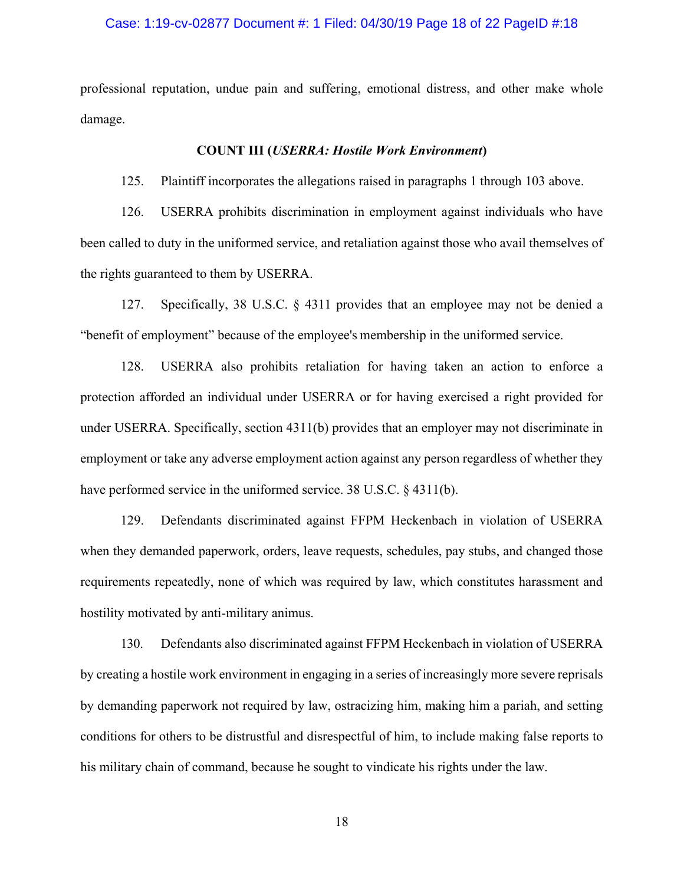#### Case: 1:19-cv-02877 Document #: 1 Filed: 04/30/19 Page 18 of 22 PageID #:18

professional reputation, undue pain and suffering, emotional distress, and other make whole damage.

#### **COUNT III (***USERRA: Hostile Work Environment***)**

125. Plaintiff incorporates the allegations raised in paragraphs 1 through 103 above.

126. USERRA prohibits discrimination in employment against individuals who have been called to duty in the uniformed service, and retaliation against those who avail themselves of the rights guaranteed to them by USERRA.

127. Specifically, 38 U.S.C. § 4311 provides that an employee may not be denied a "benefit of employment" because of the employee's membership in the uniformed service.

128. USERRA also prohibits retaliation for having taken an action to enforce a protection afforded an individual under USERRA or for having exercised a right provided for under USERRA. Specifically, section 4311(b) provides that an employer may not discriminate in employment or take any adverse employment action against any person regardless of whether they have performed service in the uniformed service. 38 U.S.C. § 4311(b).

129. Defendants discriminated against FFPM Heckenbach in violation of USERRA when they demanded paperwork, orders, leave requests, schedules, pay stubs, and changed those requirements repeatedly, none of which was required by law, which constitutes harassment and hostility motivated by anti-military animus.

130. Defendants also discriminated against FFPM Heckenbach in violation of USERRA by creating a hostile work environment in engaging in a series of increasingly more severe reprisals by demanding paperwork not required by law, ostracizing him, making him a pariah, and setting conditions for others to be distrustful and disrespectful of him, to include making false reports to his military chain of command, because he sought to vindicate his rights under the law.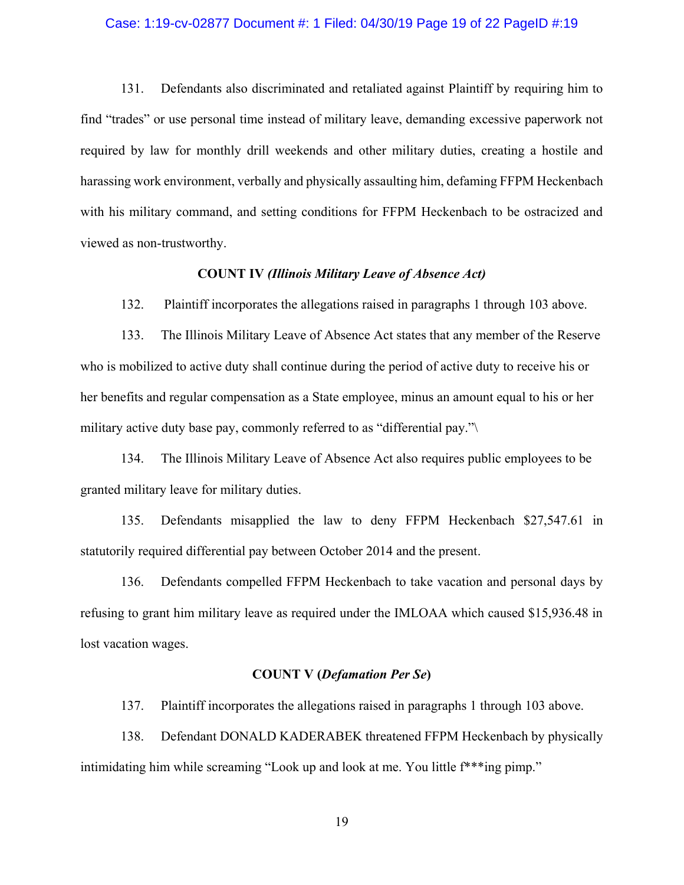#### Case: 1:19-cv-02877 Document #: 1 Filed: 04/30/19 Page 19 of 22 PageID #:19

131. Defendants also discriminated and retaliated against Plaintiff by requiring him to find "trades" or use personal time instead of military leave, demanding excessive paperwork not required by law for monthly drill weekends and other military duties, creating a hostile and harassing work environment, verbally and physically assaulting him, defaming FFPM Heckenbach with his military command, and setting conditions for FFPM Heckenbach to be ostracized and viewed as non-trustworthy.

# **COUNT IV** *(Illinois Military Leave of Absence Act)*

132. Plaintiff incorporates the allegations raised in paragraphs 1 through 103 above.

133. The Illinois Military Leave of Absence Act states that any member of the Reserve who is mobilized to active duty shall continue during the period of active duty to receive his or her benefits and regular compensation as a State employee, minus an amount equal to his or her military active duty base pay, commonly referred to as "differential pay."\

134. The Illinois Military Leave of Absence Act also requires public employees to be granted military leave for military duties.

135. Defendants misapplied the law to deny FFPM Heckenbach \$27,547.61 in statutorily required differential pay between October 2014 and the present.

136. Defendants compelled FFPM Heckenbach to take vacation and personal days by refusing to grant him military leave as required under the IMLOAA which caused \$15,936.48 in lost vacation wages.

## **COUNT V (***Defamation Per Se***)**

137. Plaintiff incorporates the allegations raised in paragraphs 1 through 103 above.

138. Defendant DONALD KADERABEK threatened FFPM Heckenbach by physically intimidating him while screaming "Look up and look at me. You little f\*\*\*ing pimp."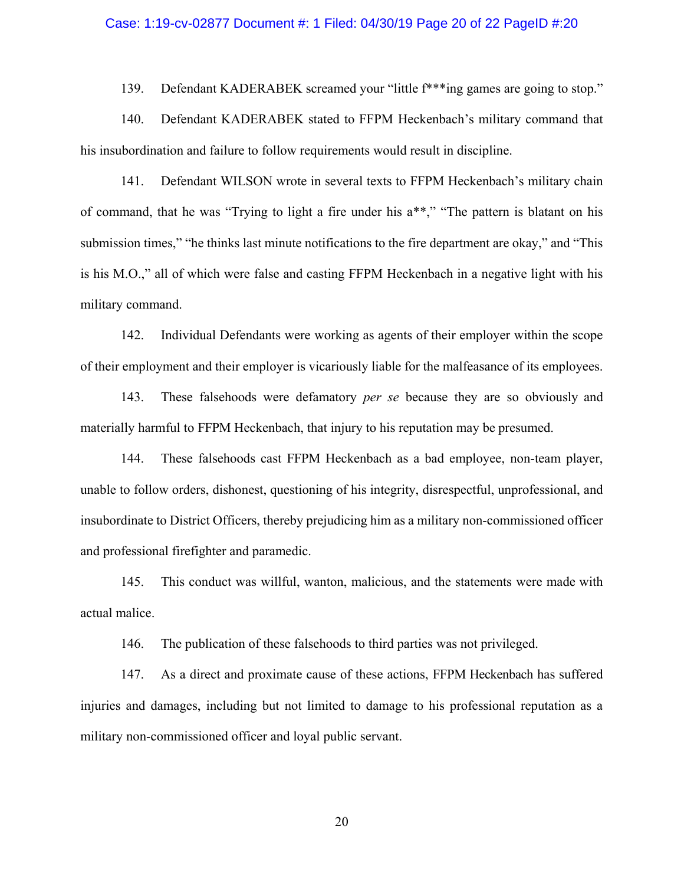#### Case: 1:19-cv-02877 Document #: 1 Filed: 04/30/19 Page 20 of 22 PageID #:20

139. Defendant KADERABEK screamed your "little f<sup>\*\*\*</sup>ing games are going to stop."

140. Defendant KADERABEK stated to FFPM Heckenbach's military command that his insubordination and failure to follow requirements would result in discipline.

141. Defendant WILSON wrote in several texts to FFPM Heckenbach's military chain of command, that he was "Trying to light a fire under his a\*\*," "The pattern is blatant on his submission times," "he thinks last minute notifications to the fire department are okay," and "This is his M.O.," all of which were false and casting FFPM Heckenbach in a negative light with his military command.

142. Individual Defendants were working as agents of their employer within the scope of their employment and their employer is vicariously liable for the malfeasance of its employees.

143. These falsehoods were defamatory *per se* because they are so obviously and materially harmful to FFPM Heckenbach, that injury to his reputation may be presumed.

144. These falsehoods cast FFPM Heckenbach as a bad employee, non-team player, unable to follow orders, dishonest, questioning of his integrity, disrespectful, unprofessional, and insubordinate to District Officers, thereby prejudicing him as a military non-commissioned officer and professional firefighter and paramedic.

145. This conduct was willful, wanton, malicious, and the statements were made with actual malice.

146. The publication of these falsehoods to third parties was not privileged.

147. As a direct and proximate cause of these actions, FFPM Heckenbach has suffered injuries and damages, including but not limited to damage to his professional reputation as a military non-commissioned officer and loyal public servant.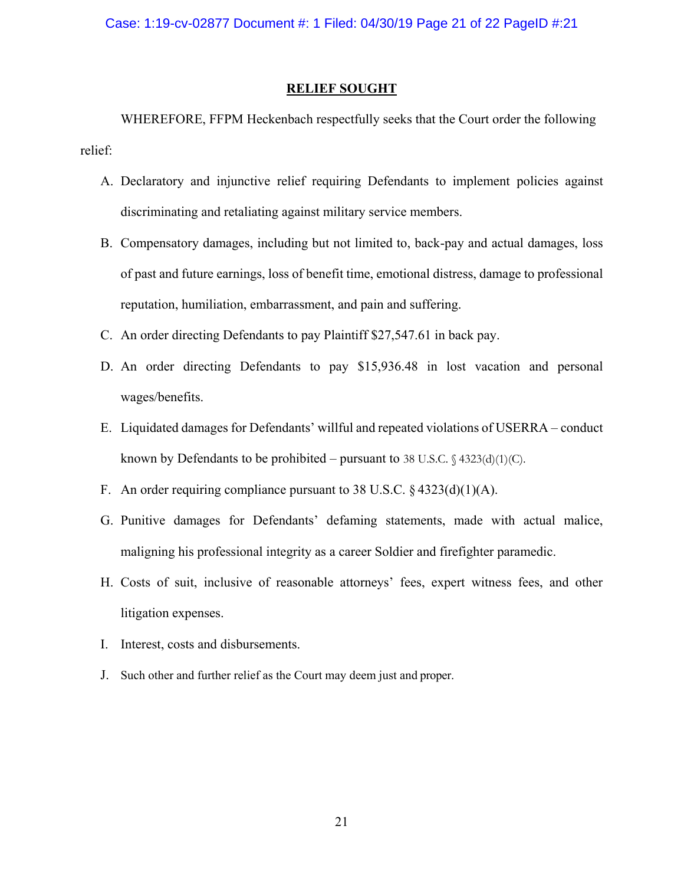# **RELIEF SOUGHT**

WHEREFORE, FFPM Heckenbach respectfully seeks that the Court order the following relief:

- A. Declaratory and injunctive relief requiring Defendants to implement policies against discriminating and retaliating against military service members.
- B. Compensatory damages, including but not limited to, back-pay and actual damages, loss of past and future earnings, loss of benefit time, emotional distress, damage to professional reputation, humiliation, embarrassment, and pain and suffering.
- C. An order directing Defendants to pay Plaintiff \$27,547.61 in back pay.
- D. An order directing Defendants to pay \$15,936.48 in lost vacation and personal wages/benefits.
- E. Liquidated damages for Defendants' willful and repeated violations of USERRA conduct known by Defendants to be prohibited – pursuant to 38 U.S.C.  $\frac{4323(d)(1)(C)}{2}$ .
- F. An order requiring compliance pursuant to 38 U.S.C.  $\S$  4323(d)(1)(A).
- G. Punitive damages for Defendants' defaming statements, made with actual malice, maligning his professional integrity as a career Soldier and firefighter paramedic.
- H. Costs of suit, inclusive of reasonable attorneys' fees, expert witness fees, and other litigation expenses.
- I. Interest, costs and disbursements.
- J. Such other and further relief as the Court may deem just and proper.